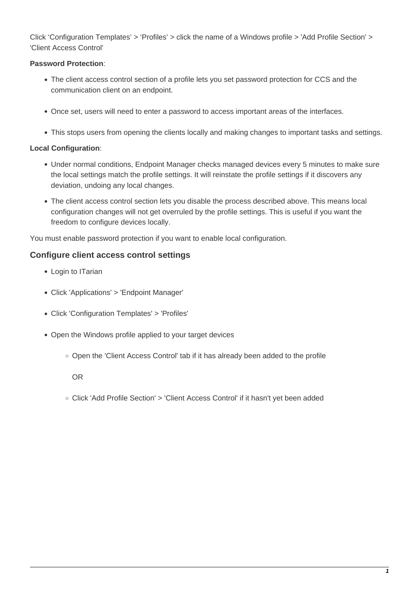Click 'Configuration Templates' > 'Profiles' > click the name of a Windows profile > 'Add Profile Section' > 'Client Access Control'

## **Password Protection**:

- The client access control section of a profile lets you set password protection for CCS and the communication client on an endpoint.
- Once set, users will need to enter a password to access important areas of the interfaces.
- This stops users from opening the clients locally and making changes to important tasks and settings.

## **Local Configuration**:

- Under normal conditions, Endpoint Manager checks managed devices every 5 minutes to make sure the local settings match the profile settings. It will reinstate the profile settings if it discovers any deviation, undoing any local changes.
- The client access control section lets you disable the process described above. This means local configuration changes will not get overruled by the profile settings. This is useful if you want the freedom to configure devices locally.

You must enable password protection if you want to enable local configuration.

## **Configure client access control settings**

- Login to ITarian
- Click 'Applications' > 'Endpoint Manager'
- Click 'Configuration Templates' > 'Profiles'
- Open the Windows profile applied to your target devices
	- Open the 'Client Access Control' tab if it has already been added to the profile

OR

Click 'Add Profile Section' > 'Client Access Control' if it hasn't yet been added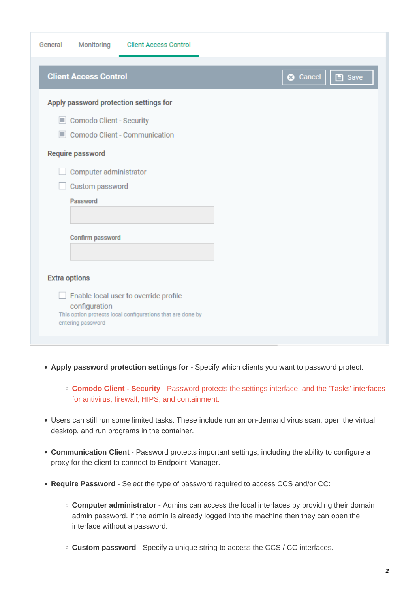| Monitoring<br>General<br><b>Client Access Control</b>                       |
|-----------------------------------------------------------------------------|
| <b>Client Access Control</b><br><b>3</b> Cancel<br>$\Box$ Save              |
| Apply password protection settings for                                      |
| Comodo Client - Security                                                    |
| Comodo Client - Communication                                               |
| Require password                                                            |
| Computer administrator                                                      |
| Custom password                                                             |
| Password                                                                    |
|                                                                             |
| <b>Confirm password</b>                                                     |
|                                                                             |
|                                                                             |
| <b>Extra options</b>                                                        |
| Enable local user to override profile                                       |
| configuration<br>This option protects local configurations that are done by |
| entering password                                                           |
|                                                                             |

- **Apply password protection settings for** Specify which clients you want to password protect.
	- **Comodo Client Security** Password protects the settings interface, and the 'Tasks' interfaces for antivirus, firewall, HIPS, and containment.
- Users can still run some limited tasks. These include run an on-demand virus scan, open the virtual desktop, and run programs in the container.
- **Communication Client** Password protects important settings, including the ability to configure a proxy for the client to connect to Endpoint Manager.
- **Require Password** Select the type of password required to access CCS and/or CC:
	- **Computer administrator** Admins can access the local interfaces by providing their domain admin password. If the admin is already logged into the machine then they can open the interface without a password.
	- **Custom password** Specify a unique string to access the CCS / CC interfaces.